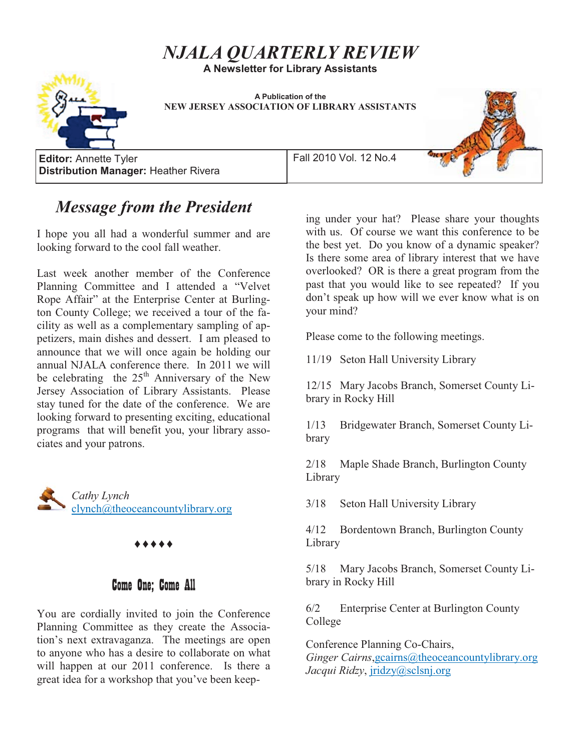# *NJALA QUARTERLY REVIEW*

**A Newsletter for Library Assistants** 



**A Publication of the NEW JERSEY ASSOCIATION OF LIBRARY ASSISTANTS** 

**Editor:** Annette Tyler **Fall 2010 Vol. 12 No.4 Distribution Manager:** Heather Rivera



# *Message from the President*

I hope you all had a wonderful summer and are looking forward to the cool fall weather.

Last week another member of the Conference Planning Committee and I attended a "Velvet Rope Affair" at the Enterprise Center at Burlington County College; we received a tour of the facility as well as a complementary sampling of appetizers, main dishes and dessert. I am pleased to announce that we will once again be holding our annual NJALA conference there. In 2011 we will be celebrating the 25<sup>th</sup> Anniversary of the New Jersey Association of Library Assistants. Please stay tuned for the date of the conference. We are looking forward to presenting exciting, educational programs that will benefit you, your library associates and your patrons.



## Come One; Come All

You are cordially invited to join the Conference Planning Committee as they create the Association's next extravaganza. The meetings are open to anyone who has a desire to collaborate on what will happen at our 2011 conference. Is there a great idea for a workshop that you've been keeping under your hat? Please share your thoughts with us. Of course we want this conference to be the best yet. Do you know of a dynamic speaker? Is there some area of library interest that we have overlooked? OR is there a great program from the past that you would like to see repeated? If you don't speak up how will we ever know what is on your mind?

Please come to the following meetings.

11/19 Seton Hall University Library

12/15 Mary Jacobs Branch, Somerset County Library in Rocky Hill

1/13 Bridgewater Branch, Somerset County Library

2/18 Maple Shade Branch, Burlington County Library

3/18 Seton Hall University Library

4/12 Bordentown Branch, Burlington County Library

5/18 Mary Jacobs Branch, Somerset County Library in Rocky Hill

6/2 Enterprise Center at Burlington County College

Conference Planning Co-Chairs,

*Ginger Cairns*,gcairns@theoceancountylibrary.org *Jacqui Ridzy*, jridzy@sclsnj.org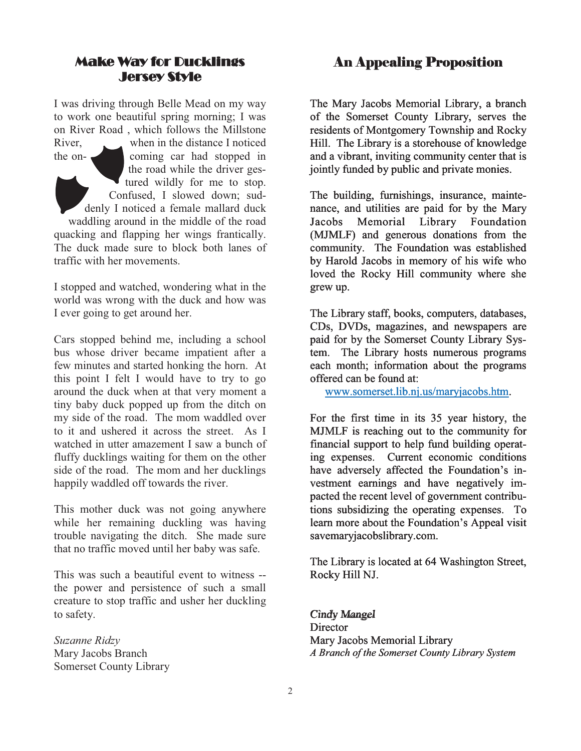### **Make Way for Ducklings Jersey Style** Jersey Style

I was driving through Belle Mead on my way to work one beautiful spring morning; I was on River Road , which follows the Millstone River, when in the distance I noticed the on- coming car had stopped in the road while the driver gestured wildly for me to stop. Confused, I slowed down; suddenly I noticed a female mallard duck waddling around in the middle of the road quacking and flapping her wings frantically. The duck made sure to block both lanes of traffic with her movements.

I stopped and watched, wondering what in the world was wrong with the duck and how was I ever going to get around her.

Cars stopped behind me, including a school bus whose driver became impatient after a few minutes and started honking the horn. At this point I felt I would have to try to go around the duck when at that very moment a tiny baby duck popped up from the ditch on my side of the road. The mom waddled over to it and ushered it across the street. As I watched in utter amazement I saw a bunch of fluffy ducklings waiting for them on the other side of the road. The mom and her ducklings happily waddled off towards the river.

This mother duck was not going anywhere while her remaining duckling was having trouble navigating the ditch. She made sure that no traffic moved until her baby was safe.

This was such a beautiful event to witness - the power and persistence of such a small creature to stop traffic and usher her duckling to safety.

*Suzanne Ridzy*  Mary Jacobs Branch Somerset County Library

### An Appealing Proposition

The Mary Jacobs Memorial Library, a branch of the Somerset County Library, serves the residents of Montgomery Township and Rocky Hill. The Library is a storehouse of knowledge and a vibrant, inviting community center that is jointly funded by public and private monies.

The building, furnishings, insurance, maintenance, and utilities are paid for by the Mary Jacobs Memorial Library Foundation (MJMLF) and generous donations from the community. The Foundation was established by Harold Jacobs in memory of his wife who loved the Rocky Hill community where she grew up.

The Library staff, books, computers, databases, CDs, DVDs, magazines, and newspapers are paid for by the Somerset County Library System. The Library hosts numerous programs each month; information about the programs offered can be found at:

www.somerset.lib.nj.us/maryjacobs.htm.

For the first time in its 35 year history, the MJMLF is reaching out to the community for financial support to help fund building operating expenses. Current economic conditions have adversely affected the Foundation's investment earnings and have negatively impacted the recent level of government contributions subsidizing the operating expenses. To learn more about the Foundation's Appeal visit savemaryjacobslibrary.com.

The Library is located at 64 Washington Street, Rocky Hill NJ.

Cindy Mangel *Cindy Mangel* **Director** Mary Jacobs Memorial Library *A Branch of the Somerset County Library System*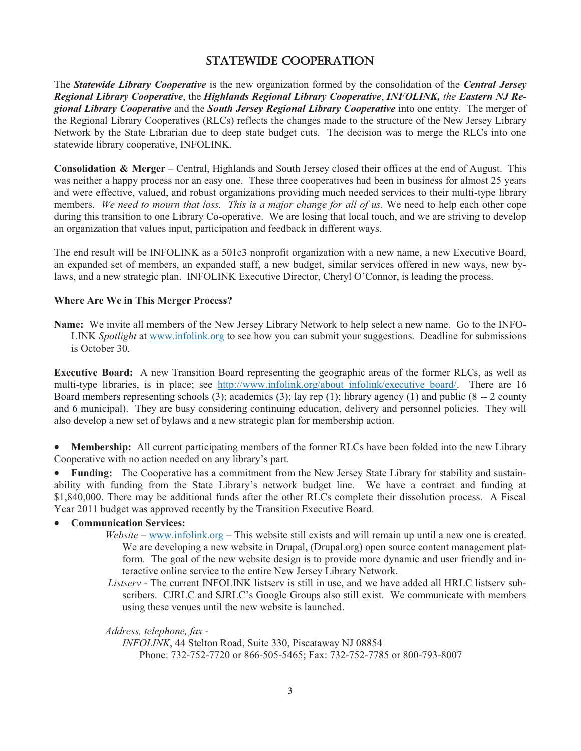### STATEWIDE COOPERATION

The *Statewide Library Cooperative* is the new organization formed by the consolidation of the *Central Jersey Regional Library Cooperative*, the *Highlands Regional Library Cooperative*, *INFOLINK, the Eastern NJ Regional Library Cooperative* and the *South Jersey Regional Library Cooperative* into one entity. The merger of the Regional Library Cooperatives (RLCs) reflects the changes made to the structure of the New Jersey Library Network by the State Librarian due to deep state budget cuts. The decision was to merge the RLCs into one statewide library cooperative, INFOLINK.

**Consolidation & Merger** – Central, Highlands and South Jersey closed their offices at the end of August. This was neither a happy process nor an easy one. These three cooperatives had been in business for almost 25 years and were effective, valued, and robust organizations providing much needed services to their multi-type library members. *We need to mourn that loss. This is a major change for all of us.* We need to help each other cope during this transition to one Library Co-operative. We are losing that local touch, and we are striving to develop an organization that values input, participation and feedback in different ways.

The end result will be INFOLINK as a 501c3 nonprofit organization with a new name, a new Executive Board, an expanded set of members, an expanded staff, a new budget, similar services offered in new ways, new bylaws, and a new strategic plan. INFOLINK Executive Director, Cheryl O'Connor, is leading the process.

#### **Where Are We in This Merger Process?**

**Name:** We invite all members of the New Jersey Library Network to help select a new name. Go to the INFO-LINK *Spotlight* at www.infolink.org to see how you can submit your suggestions. Deadline for submissions is October 30.

**Executive Board:** A new Transition Board representing the geographic areas of the former RLCs, as well as multi-type libraries, is in place; see http://www.infolink.org/about infolink/executive board/. There are 16 Board members representing schools (3); academics (3); lay rep (1); library agency (1) and public (8 -- 2 county and 6 municipal). They are busy considering continuing education, delivery and personnel policies. They will also develop a new set of bylaws and a new strategic plan for membership action.

 $\bullet$  **Membership:** All current participating members of the former RLCs have been folded into the new Library Cooperative with no action needed on any library's part.

- **Funding:** The Cooperative has a commitment from the New Jersey State Library for stability and sustainability with funding from the State Library's network budget line. We have a contract and funding at \$1,840,000. There may be additional funds after the other RLCs complete their dissolution process. A Fiscal Year 2011 budget was approved recently by the Transition Executive Board.

#### -**Communication Services:**

- *Website* www.infolink.org This website still exists and will remain up until a new one is created. We are developing a new website in Drupal, (Drupal.org) open source content management platform. The goal of the new website design is to provide more dynamic and user friendly and interactive online service to the entire New Jersey Library Network.
- *Listserv* The current INFOLINK listserv is still in use, and we have added all HRLC listserv subscribers. CJRLC and SJRLC's Google Groups also still exist. We communicate with members using these venues until the new website is launched.

*Address, telephone, fax* -

*INFOLINK*, 44 Stelton Road, Suite 330, Piscataway NJ 08854 Phone: 732-752-7720 or 866-505-5465; Fax: 732-752-7785 or 800-793-8007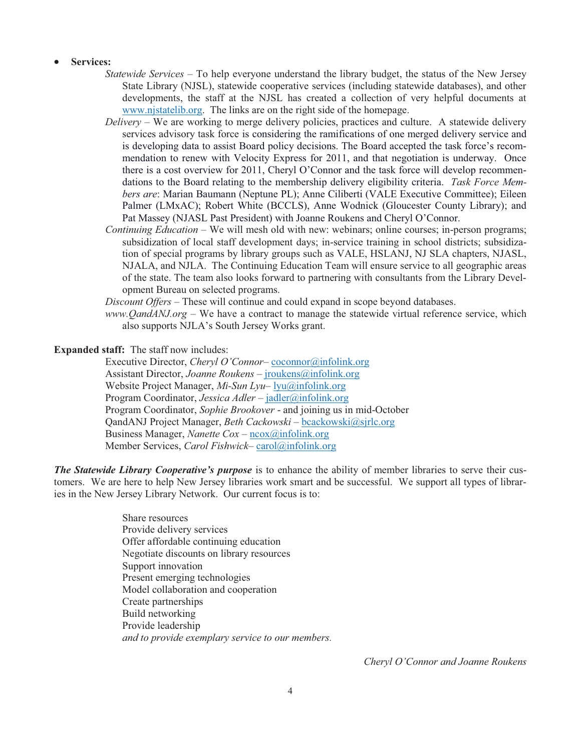#### -**Services:**

- *Statewide Services* To help everyone understand the library budget, the status of the New Jersey State Library (NJSL), statewide cooperative services (including statewide databases), and other developments, the staff at the NJSL has created a collection of very helpful documents at www.njstatelib.org. The links are on the right side of the homepage.
- *Delivery* We are working to merge delivery policies, practices and culture. A statewide delivery services advisory task force is considering the ramifications of one merged delivery service and is developing data to assist Board policy decisions. The Board accepted the task force's recommendation to renew with Velocity Express for 2011, and that negotiation is underway. Once there is a cost overview for 2011, Cheryl O'Connor and the task force will develop recommendations to the Board relating to the membership delivery eligibility criteria. *Task Force Members are*: Marian Baumann (Neptune PL); Anne Ciliberti (VALE Executive Committee); Eileen Palmer (LMxAC); Robert White (BCCLS), Anne Wodnick (Gloucester County Library); and Pat Massey (NJASL Past President) with Joanne Roukens and Cheryl O'Connor.
- *Continuing Education* We will mesh old with new: webinars; online courses; in-person programs; subsidization of local staff development days; in-service training in school districts; subsidization of special programs by library groups such as VALE, HSLANJ, NJ SLA chapters, NJASL, NJALA, and NJLA. The Continuing Education Team will ensure service to all geographic areas of the state. The team also looks forward to partnering with consultants from the Library Development Bureau on selected programs.

*Discount Offers* – These will continue and could expand in scope beyond databases.

*www.QandANJ.org* – We have a contract to manage the statewide virtual reference service, which also supports NJLA's South Jersey Works grant.

#### **Expanded staff:** The staff now includes:

Executive Director, *Cheryl O'Connor*– coconnor@infolink.org Assistant Director, *Joanne Roukens* – *jroukens@infolink.org* Website Project Manager, *Mi-Sun Lyu*– lyu@infolink.org Program Coordinator, *Jessica Adler* – jadler@infolink.org Program Coordinator, *Sophie Brookover* - and joining us in mid-October QandANJ Project Manager, *Beth Cackowski* – bcackowski@sjrlc.org Business Manager, *Nanette Cox* – ncox@infolink.org Member Services, *Carol Fishwick*– carol@infolink.org

*The Statewide Library Cooperative's purpose* is to enhance the ability of member libraries to serve their customers. We are here to help New Jersey libraries work smart and be successful. We support all types of libraries in the New Jersey Library Network. Our current focus is to:

> Share resources Provide delivery services Offer affordable continuing education Negotiate discounts on library resources Support innovation Present emerging technologies Model collaboration and cooperation Create partnerships Build networking Provide leadership *and to provide exemplary service to our members.*

> > *Cheryl O'Connor and Joanne Roukens*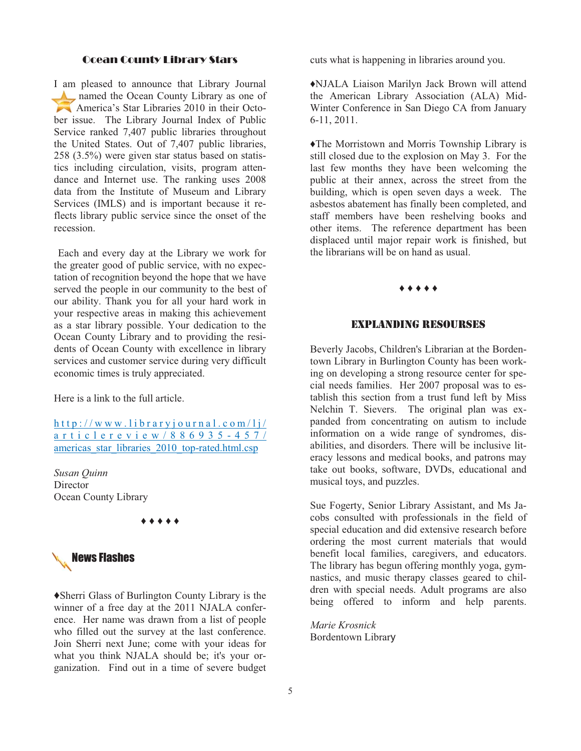#### **Ocean County Library Stars** Ocean County Library Stars

I am pleased to announce that Library Journal named the Ocean County Library as one of America's Star Libraries 2010 in their October issue. The Library Journal Index of Public Service ranked 7,407 public libraries throughout the United States. Out of 7,407 public libraries, 258 (3.5%) were given star status based on statistics including circulation, visits, program attendance and Internet use. The ranking uses 2008 data from the Institute of Museum and Library Services (IMLS) and is important because it reflects library public service since the onset of the recession.

 Each and every day at the Library we work for the greater good of public service, with no expectation of recognition beyond the hope that we have served the people in our community to the best of our ability. Thank you for all your hard work in your respective areas in making this achievement as a star library possible. Your dedication to the Ocean County Library and to providing the residents of Ocean County with excellence in library services and customer service during very difficult economic times is truly appreciated.

Here is a link to the full article.

http://www.libraryjournal.com/lj/ articlereview/886935-457/ americas star\_libraries\_2010\_top-rated.html.csp

*Susan Quinn*  **Director** Ocean County Library

♦ ♦ ♦ ♦ ♦



♦Sherri Glass of Burlington County Library is the winner of a free day at the 2011 NJALA conference. Her name was drawn from a list of people who filled out the survey at the last conference. Join Sherri next June; come with your ideas for what you think NJALA should be; it's your organization. Find out in a time of severe budget cuts what is happening in libraries around you.

♦NJALA Liaison Marilyn Jack Brown will attend the American Library Association (ALA) Mid-Winter Conference in San Diego CA from January 6-11, 2011.

♦The Morristown and Morris Township Library is still closed due to the explosion on May 3. For the last few months they have been welcoming the public at their annex, across the street from the building, which is open seven days a week. The asbestos abatement has finally been completed, and staff members have been reshelving books and other items. The reference department has been displaced until major repair work is finished, but the librarians will be on hand as usual.

### ♦ ♦ ♦ ♦ ♦

#### EXPLANDING RESOURSES

Beverly Jacobs, Children's Librarian at the Bordentown Library in Burlington County has been working on developing a strong resource center for special needs families. Her 2007 proposal was to establish this section from a trust fund left by Miss Nelchin T. Sievers. The original plan was expanded from concentrating on autism to include information on a wide range of syndromes, disabilities, and disorders. There will be inclusive literacy lessons and medical books, and patrons may take out books, software, DVDs, educational and musical toys, and puzzles.

Sue Fogerty, Senior Library Assistant, and Ms Jacobs consulted with professionals in the field of special education and did extensive research before ordering the most current materials that would benefit local families, caregivers, and educators. The library has begun offering monthly yoga, gymnastics, and music therapy classes geared to children with special needs. Adult programs are also being offered to inform and help parents.

*Marie Krosnick* Bordentown Library